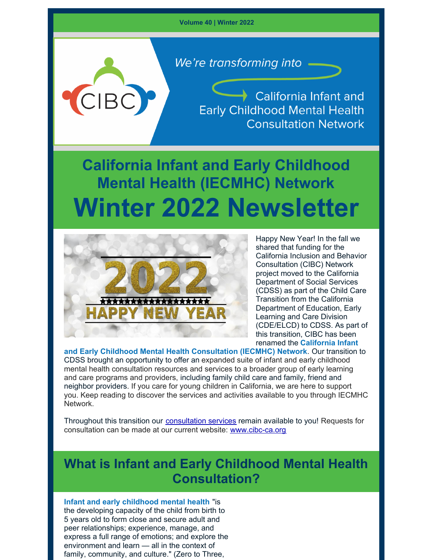**Volume 40 | Winter 2022**

We're transforming into.

**California Infant and Early Childhood Mental Health Consultation Network** 

# **California Infant and Early Childhood Mental Health (IECMHC) Network Winter 2022 Newsletter**



 $C\,$ 

Happy New Year! In the fall we shared that funding for the California Inclusion and Behavior Consultation (CIBC) Network project moved to the California Department of Social Services (CDSS) as part of the Child Care Transition from the California Department of Education, Early Learning and Care Division (CDE/ELCD) to CDSS. As part of this transition, CIBC has been renamed the **California Infant**

**and Early Childhood Mental Health Consultation (IECMHC) Network***.* Our transition to CDSS brought an opportunity to offer an expanded suite of infant and early childhood mental health consultation resources and services to a broader group of early learning and care programs and providers, including family child care and family, friend and neighbor providers. If you care for young children in California, we are here to support you. Keep reading to discover the services and activities available to you through IECMHC Network.

Throughout this transition our [consultation](https://cibc-ca.org/wp/wp-content/uploads/IECMHC-Virtual-Consultation-Flyer_v.12-28-2021.pdf) services remain available to you! Requests for consultation can be made at our current website: [www.cibc-ca.org](http://www.cibc-ca.org/)

# **What is Infant and Early Childhood Mental Health Consultation?**

**Infant and early childhood mental health** "is the developing capacity of the child from birth to 5 years old to form close and secure adult and peer relationships; experience, manage, and express a full range of emotions; and explore the environment and learn — all in the context of family, community, and culture." (Zero to Three,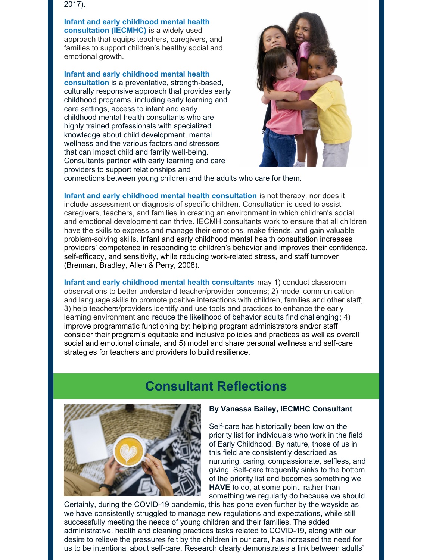2017).

**Infant and early childhood mental health consultation (IECMHC)** is a widely used approach that equips teachers, caregivers, and families to support children's healthy social and emotional growth.

**Infant and early childhood mental health consultation** is a preventative, strength-based, culturally responsive approach that provides early childhood programs, including early learning and care settings, access to infant and early childhood mental health consultants who are highly trained professionals with specialized knowledge about child development, mental wellness and the various factors and stressors that can impact child and family well-being. Consultants partner with early learning and care providers to support relationships and



connections between young children and the adults who care for them.

**Infant and early childhood mental health consultation** is not therapy, nor does it include assessment or diagnosis of specific children. Consultation is used to assist caregivers, teachers, and families in creating an environment in which children's social and emotional development can thrive. IECMH consultants work to ensure that all children have the skills to express and manage their emotions, make friends, and gain valuable problem-solving skills. Infant and early childhood mental health consultation increases providers' competence in responding to children's behavior and improves their confidence, self-efficacy, and sensitivity, while reducing work-related stress, and staff turnover (Brennan, Bradley, Allen & Perry, 2008).

**Infant and early childhood mental health consultants** may 1) conduct classroom observations to better understand teacher/provider concerns; 2) model communication and language skills to promote positive interactions with children, families and other staff; 3) help teachers/providers identify and use tools and practices to enhance the early learning environment and reduce the likelihood of behavior adults find challenging; 4) improve programmatic functioning by: helping program administrators and/or staff consider their program's equitable and inclusive policies and practices as well as overall social and emotional climate, and 5) model and share personal wellness and self-care strategies for teachers and providers to build resilience.

# **Consultant Reflections**



#### **By Vanessa Bailey, IECMHC Consultant**

Self-care has historically been low on the priority list for individuals who work in the field of Early Childhood. By nature, those of us in this field are consistently described as nurturing, caring, compassionate, selfless, and giving. Self-care frequently sinks to the bottom of the priority list and becomes something we **HAVE** to do, at some point, rather than something we regularly do because we should.

Certainly, during the COVID-19 pandemic, this has gone even further by the wayside as we have consistently struggled to manage new regulations and expectations, while still successfully meeting the needs of young children and their families. The added administrative, health and cleaning practices tasks related to COVID-19, along with our desire to relieve the pressures felt by the children in our care, has increased the need for us to be intentional about self-care. Research clearly demonstrates a link between adults'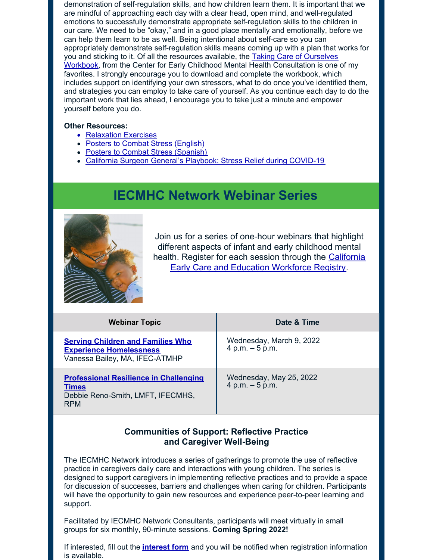demonstration of self-regulation skills, and how children learn them. It is important that we are mindful of approaching each day with a clear head, open mind, and well-regulated emotions to successfully demonstrate appropriate self-regulation skills to the children in our care. We need to be "okay," and in a good place mentally and emotionally, before we can help them learn to be as well. Being intentional about self-care so you can appropriately demonstrate self-regulation skills means coming up with a plan that works for you and sticking to it. Of all the resources available, the Taking Care of Ourselves Workbook, from the Center for Early Childhood Mental Health [Consultation](https://www.ecmhc.org/documents/TakingCare_ProviderBk_final.pdf) is one of my favorites. I strongly encourage you to download and complete the workbook, which includes support on identifying your own stressors, what to do once you've identified them, and strategies you can employ to take care of yourself. As you continue each day to do the important work that lies ahead, I encourage you to take just a minute and empower yourself before you do.

#### **Other Resources:**

- [Relaxation](https://www.ecmhc.org/relaxation_exercises.html) Exercises
- Posters to Combat Stress [\(English\)](https://www.ecmhc.org/documents/CECMHC_GrafittiPosters.pdf)
- Posters to Combat Stress [\(Spanish\)](https://www.ecmhc.org/documents/CECMHC_GrafittiPosters_Espanol.pdf)
- California Surgeon General's Playbook: Stress Relief during [COVID-19](https://files.covid19.ca.gov/pdf/wp/california-surgeon-general_stress-busting-playbook--en.pdf)

# **IECMHC Network Webinar Series**



Join us for a series of one-hour webinars that highlight different aspects of infant and early childhood mental health. Register for each session through the California Early Care and Education [Workforce](https://caregistry.org/) Registry.

| <b>Webinar Topic</b>                                                                                             | Date & Time                                   |
|------------------------------------------------------------------------------------------------------------------|-----------------------------------------------|
| <b>Serving Children and Families Who</b><br><b>Experience Homelessness</b><br>Vanessa Bailey, MA, IFEC-ATMHP     | Wednesday, March 9, 2022<br>$4 p.m. - 5 p.m.$ |
| <b>Professional Resilience in Challenging</b><br><b>Times</b><br>Debbie Reno-Smith, LMFT, IFECMHS,<br><b>RPM</b> | Wednesday, May 25, 2022<br>$4 p.m. - 5 p.m.$  |

### **Communities of Support: Reflective Practice and Caregiver Well-Being**

The IECMHC Network introduces a series of gatherings to promote the use of reflective practice in caregivers daily care and interactions with young children. The series is designed to support caregivers in implementing reflective practices and to provide a space for discussion of successes, barriers and challenges when caring for children. Participants will have the opportunity to gain new resources and experience peer-to-peer learning and support.

Facilitated by IECMHC Network Consultants, participants will meet virtually in small groups for six monthly, 90-minute sessions. **Coming Spring 2022!**

If interested, fill out the **[interest](https://app.smartsheet.com/b/form/a932cb4178994a77b4a862150f8d33c7) form** and you will be notified when registration information is available.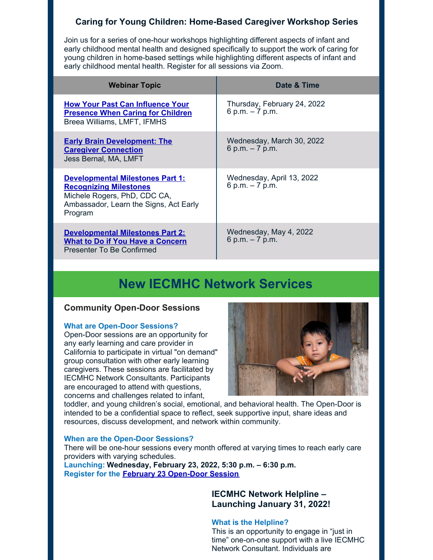# **Caring for Young Children: Home-Based Caregiver Workshop Series**

Join us for a series of one-hour workshops highlighting different aspects of infant and early childhood mental health and designed specifically to support the work of caring for young children in home-based settings while highlighting different aspects of infant and early childhood mental health. Register for all sessions via Zoom.

| <b>Webinar Topic</b>                                                                                                                                          | Date & Time                                     |
|---------------------------------------------------------------------------------------------------------------------------------------------------------------|-------------------------------------------------|
| <b>How Your Past Can Influence Your</b><br><b>Presence When Caring for Children</b><br>Breea Williams, LMFT, IFMHS                                            | Thursday, February 24, 2022<br>6 p.m. $-7$ p.m. |
| <b>Early Brain Development: The</b><br><b>Caregiver Connection</b><br>Jess Bernal, MA, LMFT                                                                   | Wednesday, March 30, 2022<br>6 p.m. $-7$ p.m.   |
| <b>Developmental Milestones Part 1:</b><br><b>Recognizing Milestones</b><br>Michele Rogers, PhD, CDC CA,<br>Ambassador, Learn the Signs, Act Early<br>Program | Wednesday, April 13, 2022<br>6 p.m. $-7$ p.m.   |
| <b>Developmental Milestones Part 2:</b><br><b>What to Do if You Have a Concern</b><br>Presenter To Be Confirmed                                               | Wednesday, May 4, 2022<br>6 p.m. $-7$ p.m.      |

# **New IECMHC Network Services**

#### **Community Open-Door Sessions**

#### **What are Open-Door Sessions?**

Open-Door sessions are an opportunity for any early learning and care provider in California to participate in virtual "on demand" group consultation with other early learning caregivers. These sessions are facilitated by IECMHC Network Consultants. Participants are encouraged to attend with questions, concerns and challenges related to infant,



toddler, and young children's social, emotional, and behavioral health. The Open-Door is intended to be a confidential space to reflect, seek supportive input, share ideas and resources, discuss development, and network within community.

#### **When are the Open-Door Sessions?**

There will be one-hour sessions every month offered at varying times to reach early care providers with varying schedules.

**Launching: Wednesday, February 23, 2022, 5:30 p.m. – 6:30 p.m. Register for the February 23 [Open-Door](https://wested.zoom.us/meeting/register/tJIqdOyoqj0rH9y2lpVO5ahLc7YvDF1KNxw5) Session**

### **IECMHC Network Helpline – Launching January 31, 2022!**

#### **What is the Helpline?**

This is an opportunity to engage in "just in time" one-on-one support with a live IECMHC Network Consultant. Individuals are